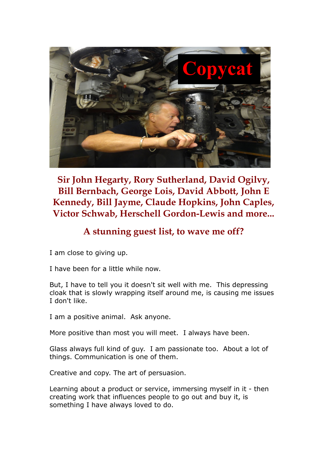

**Sir John Hegarty, Rory Sutherland, David Ogilvy, Bill Bernbach, George Lois, David Abbott, John E Kennedy, Bill Jayme, Claude Hopkins, John Caples, Victor Schwab, Herschell Gordon-Lewis and more...**

## **A stunning guest list, to wave me off?**

I am close to giving up.

I have been for a little while now.

But, I have to tell you it doesn't sit well with me. This depressing cloak that is slowly wrapping itself around me, is causing me issues I don't like.

I am a positive animal. Ask anyone.

More positive than most you will meet. I always have been.

Glass always full kind of guy. I am passionate too. About a lot of things. Communication is one of them.

Creative and copy. The art of persuasion.

Learning about a product or service, immersing myself in it - then creating work that influences people to go out and buy it, is something I have always loved to do.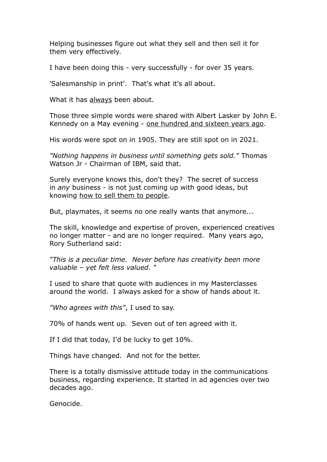Helping businesses figure out what they sell and then sell it for them very effectively.

I have been doing this - very successfully - for over 35 years.

'Salesmanship in print'. That's what it's all about.

What it has always been about.

Those three simple words were shared with Albert Lasker by John E. Kennedy on a May evening - one hundred and sixteen years ago.

His words were spot on in 1905. They are still spot on in 2021.

*"Nothing happens in business until something gets sold."* Thomas Watson Jr - Chairman of IBM, said that.

Surely everyone knows this, don't they? The secret of success in *any* business - is not just coming up with good ideas, but knowing how to sell them to people.

But, playmates, it seems no one really wants that anymore...

The skill, knowledge and expertise of proven, experienced creatives no longer matter - and are no longer required. Many years ago, Rory Sutherland said:

*"This is a peculiar time. Never before has creativity been more valuable – yet felt less valued. "* 

I used to share that quote with audiences in my Masterclasses around the world. I always asked for a show of hands about it.

*"Who agrees with this"*, I used to say.

70% of hands went up. Seven out of ten agreed with it.

If I did that today, I'd be lucky to get 10%.

Things have changed. And not for the better.

There is a totally dismissive attitude today in the communications business, regarding experience. It started in ad agencies over two decades ago.

Genocide.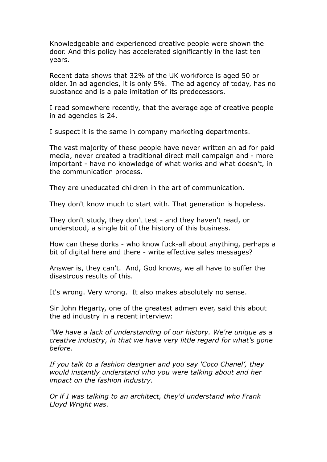Knowledgeable and experienced creative people were shown the door. And this policy has accelerated significantly in the last ten years.

Recent data shows that 32% of the UK workforce is aged 50 or older. In ad agencies, it is only 5%. The ad agency of today, has no substance and is a pale imitation of its predecessors.

I read somewhere recently, that the average age of creative people in ad agencies is 24.

I suspect it is the same in company marketing departments.

The vast majority of these people have never written an ad for paid media, never created a traditional direct mail campaign and - more important - have no knowledge of what works and what doesn't, in the communication process.

They are uneducated children in the art of communication.

They don't know much to start with. That generation is hopeless.

They don't study, they don't test - and they haven't read, or understood, a single bit of the history of this business.

How can these dorks - who know fuck-all about anything, perhaps a bit of digital here and there - write effective sales messages?

Answer is, they can't. And, God knows, we all have to suffer the disastrous results of this.

It's wrong. Very wrong. It also makes absolutely no sense.

Sir John Hegarty, one of the greatest admen ever, said this about the ad industry in a recent interview:

*"We have a lack of understanding of our history. We're unique as a creative industry, in that we have very little regard for what's gone before.* 

*If you talk to a fashion designer and you say 'Coco Chanel', they would instantly understand who you were talking about and her impact on the fashion industry.* 

*Or if I was talking to an architect, they'd understand who Frank Lloyd Wright was.*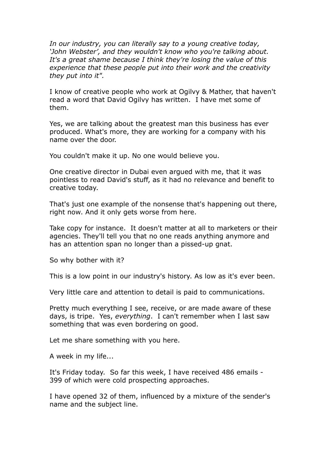*In our industry, you can literally say to a young creative today, 'John Webster', and they wouldn't know who you're talking about. It's a great shame because I think they're losing the value of this experience that these people put into their work and the creativity they put into it".*

I know of creative people who work at Ogilvy & Mather, that haven't read a word that David Ogilvy has written. I have met some of them.

Yes, we are talking about the greatest man this business has ever produced. What's more, they are working for a company with his name over the door.

You couldn't make it up. No one would believe you.

One creative director in Dubai even argued with me, that it was pointless to read David's stuff, as it had no relevance and benefit to creative today.

That's just one example of the nonsense that's happening out there, right now. And it only gets worse from here.

Take copy for instance. It doesn't matter at all to marketers or their agencies. They'll tell you that no one reads anything anymore and has an attention span no longer than a pissed-up gnat.

So why bother with it?

This is a low point in our industry's history. As low as it's ever been.

Very little care and attention to detail is paid to communications.

Pretty much everything I see, receive, or are made aware of these days, is tripe. Yes, *everything*. I can't remember when I last saw something that was even bordering on good.

Let me share something with you here.

A week in my life...

It's Friday today. So far this week, I have received 486 emails - 399 of which were cold prospecting approaches.

I have opened 32 of them, influenced by a mixture of the sender's name and the subject line.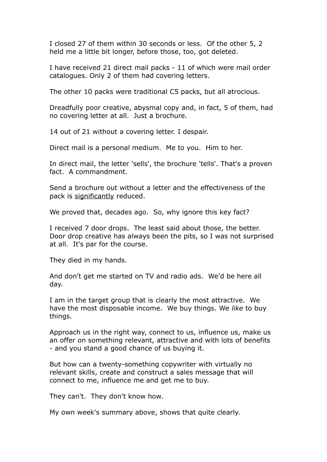I closed 27 of them within 30 seconds or less. Of the other 5, 2 held me a little bit longer, before those, too, got deleted.

I have received 21 direct mail packs - 11 of which were mail order catalogues. Only 2 of them had covering letters.

The other 10 packs were traditional C5 packs, but all atrocious.

Dreadfully poor creative, abysmal copy and, in fact, 5 of them, had no covering letter at all. Just a brochure.

14 out of 21 without a covering letter. I despair.

Direct mail is a personal medium. Me to you. Him to her.

In direct mail, the letter 'sells', the brochure 'tells'. That's a proven fact. A commandment.

Send a brochure out without a letter and the effectiveness of the pack is significantly reduced.

We proved that, decades ago. So, why ignore this key fact?

I received 7 door drops. The least said about those, the better. Door drop creative has always been the pits, so I was not surprised at all. It's par for the course.

They died in my hands.

And don't get me started on TV and radio ads. We'd be here all day.

I am in the target group that is clearly the most attractive. We have the most disposable income. We buy things. We *like* to buy things.

Approach us in the right way, connect to us, influence us, make us an offer on something relevant, attractive and with lots of benefits - and you stand a good chance of us buying it.

But how can a twenty-something copywriter with virtually no relevant skills, create and construct a sales message that will connect to me, influence me and get me to buy.

They can't. They don't know how.

My own week's summary above, shows that quite clearly.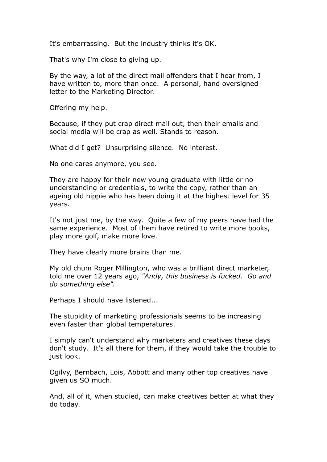It's embarrassing. But the industry thinks it's OK.

That's why I'm close to giving up.

By the way, a lot of the direct mail offenders that I hear from, I have written to, more than once. A personal, hand oversigned letter to the Marketing Director.

Offering my help.

Because, if they put crap direct mail out, then their emails and social media will be crap as well. Stands to reason.

What did I get? Unsurprising silence. No interest.

No one cares anymore, you see.

They are happy for their new young graduate with little or no understanding or credentials, to write the copy, rather than an ageing old hippie who has been doing it at the highest level for 35 years.

It's not just me, by the way. Quite a few of my peers have had the same experience. Most of them have retired to write more books, play more golf, make more love.

They have clearly more brains than me.

My old chum Roger Millington, who was a brilliant direct marketer, told me over 12 years ago, *"Andy, this business is fucked. Go and do something else".*

Perhaps I should have listened...

The stupidity of marketing professionals seems to be increasing even faster than global temperatures.

I simply can't understand why marketers and creatives these days don't study. It's all there for them, if they would take the trouble to just look.

Ogilvy, Bernbach, Lois, Abbott and many other top creatives have given us SO much.

And, all of it, when studied, can make creatives better at what they do today.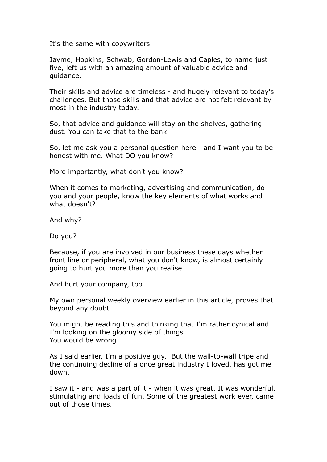It's the same with copywriters.

Jayme, Hopkins, Schwab, Gordon-Lewis and Caples, to name just five, left us with an amazing amount of valuable advice and guidance.

Their skills and advice are timeless - and hugely relevant to today's challenges. But those skills and that advice are not felt relevant by most in the industry today.

So, that advice and guidance will stay on the shelves, gathering dust. You can take that to the bank.

So, let me ask you a personal question here - and I want you to be honest with me. What DO you know?

More importantly, what don't you know?

When it comes to marketing, advertising and communication, do you and your people, know the key elements of what works and what doesn't?

And why?

Do you?

Because, if you are involved in our business these days whether front line or peripheral, what you don't know, is almost certainly going to hurt you more than you realise.

And hurt your company, too.

My own personal weekly overview earlier in this article, proves that beyond any doubt.

You might be reading this and thinking that I'm rather cynical and I'm looking on the gloomy side of things. You would be wrong.

As I said earlier, I'm a positive guy. But the wall-to-wall tripe and the continuing decline of a once great industry I loved, has got me down.

I saw it - and was a part of it - when it was great. It was wonderful, stimulating and loads of fun. Some of the greatest work ever, came out of those times.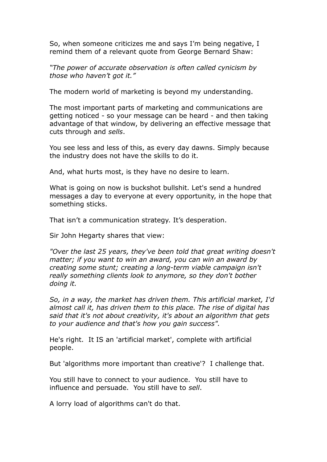So, when someone criticizes me and says I'm being negative, I remind them of a relevant quote from George Bernard Shaw:

*"The power of accurate observation is often called cynicism by those who haven't got it."*

The modern world of marketing is beyond my understanding.

The most important parts of marketing and communications are getting noticed - so your message can be heard - and then taking advantage of that window, by delivering an effective message that cuts through and *sells*.

You see less and less of this, as every day dawns. Simply because the industry does not have the skills to do it.

And, what hurts most, is they have no desire to learn.

What is going on now is buckshot bullshit. Let's send a hundred messages a day to everyone at every opportunity, in the hope that something sticks.

That isn't a communication strategy. It's desperation.

Sir John Hegarty shares that view:

*"Over the last 25 years, they've been told that great writing doesn't matter; if you want to win an award, you can win an award by creating some stunt; creating a long-term viable campaign isn't really something clients look to anymore, so they don't bother doing it.* 

*So, in a way, the market has driven them. This artificial market, I'd almost call it, has driven them to this place. The rise of digital has said that it's not about creativity, it's about an algorithm that gets to your audience and that's how you gain success".* 

He's right. It IS an 'artificial market', complete with artificial people.

But 'algorithms more important than creative'? I challenge that.

You still have to connect to your audience. You still have to influence and persuade. You still have to *sell*.

A lorry load of algorithms can't do that.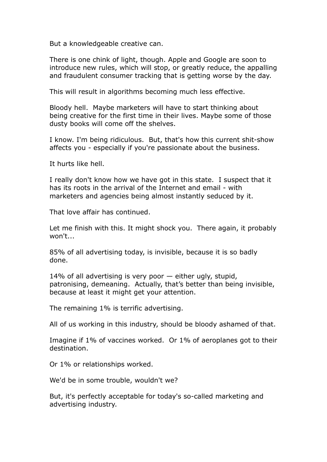But a knowledgeable creative can.

There is one chink of light, though. Apple and Google are soon to introduce new rules, which will stop, or greatly reduce, the appalling and fraudulent consumer tracking that is getting worse by the day.

This will result in algorithms becoming much less effective.

Bloody hell. Maybe marketers will have to start thinking about being creative for the first time in their lives. Maybe some of those dusty books will come off the shelves.

I know. I'm being ridiculous. But, that's how this current shit-show affects you - especially if you're passionate about the business.

It hurts like hell.

I really don't know how we have got in this state. I suspect that it has its roots in the arrival of the Internet and email - with marketers and agencies being almost instantly seduced by it.

That love affair has continued.

Let me finish with this. It might shock you. There again, it probably won't...

85% of all advertising today, is invisible, because it is so badly done.

14% of all advertising is very poor — either ugly, stupid, patronising, demeaning. Actually, that's better than being invisible, because at least it might get your attention.

The remaining 1% is terrific advertising.

All of us working in this industry, should be bloody ashamed of that.

Imagine if 1% of vaccines worked. Or 1% of aeroplanes got to their destination.

Or 1% or relationships worked.

We'd be in some trouble, wouldn't we?

But, it's perfectly acceptable for today's so-called marketing and advertising industry.